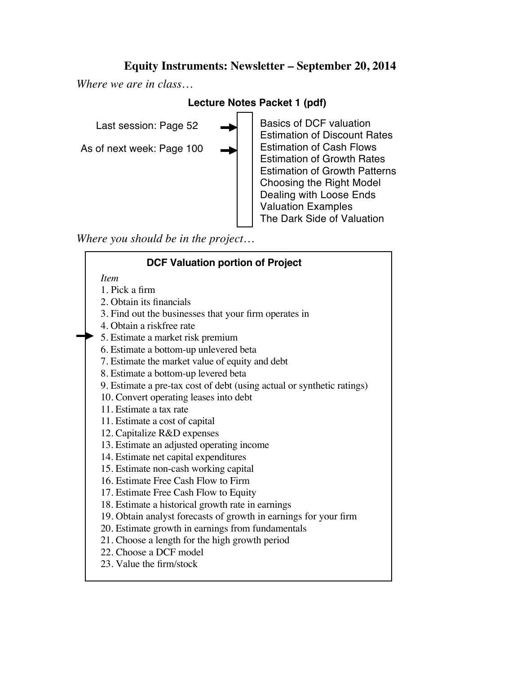# **Equity Instruments: Newsletter – September 20, 2014**

*Where we are in class…*

## **Lecture Notes Packet 1 (pdf)**

Last session: Page 52

As of next week: Page 100

Basics of DCF valuation Estimation of Discount Rates Estimation of Cash Flows Estimation of Growth Rates Estimation of Growth Patterns Choosing the Right Model Dealing with Loose Ends Valuation Examples The Dark Side of Valuation

*Where you should be in the project…*

### **DCF Valuation portion of Project** *Item* 1. Pick a firm 2. Obtain its financials 3. Find out the businesses that your firm operates in 4. Obtain a riskfree rate 5. Estimate a market risk premium 6. Estimate a bottom-up unlevered beta 7. Estimate the market value of equity and debt 8. Estimate a bottom-up levered beta 9. Estimate a pre-tax cost of debt (using actual or synthetic ratings) 10. Convert operating leases into debt 11. Estimate a tax rate 11. Estimate a cost of capital 12. Capitalize R&D expenses 13. Estimate an adjusted operating income 14. Estimate net capital expenditures 15. Estimate non-cash working capital 16. Estimate Free Cash Flow to Firm 17. Estimate Free Cash Flow to Equity 18. Estimate a historical growth rate in earnings 19. Obtain analyst forecasts of growth in earnings for your firm 20. Estimate growth in earnings from fundamentals 21. Choose a length for the high growth period 22. Choose a DCF model 23. Value the firm/stock